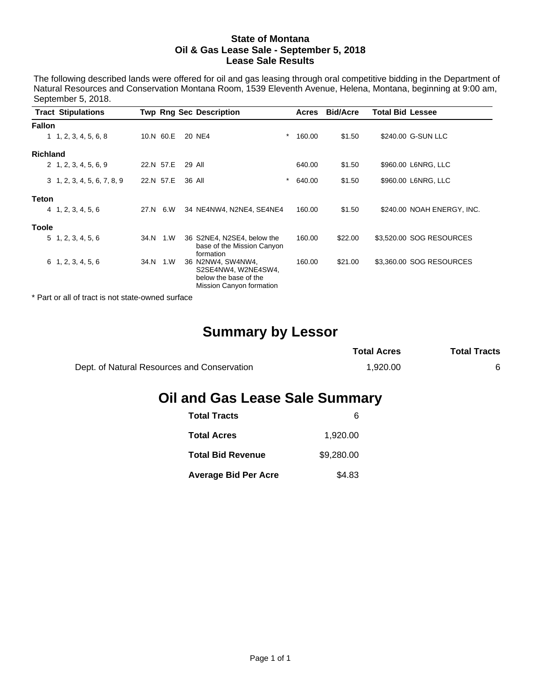### **State of Montana Oil & Gas Lease Sale - September 5, 2018 Lease Sale Results**

The following described lands were offered for oil and gas leasing through oral competitive bidding in the Department of Natural Resources and Conservation Montana Room, 1539 Eleventh Avenue, Helena, Montana, beginning at 9:00 am, September 5, 2018.

|                 | <b>Tract Stipulations</b>          |      |           | <b>Twp Rng Sec Description</b>                                                                |          | Acres  | <b>Bid/Acre</b> | <b>Total Bid Lessee</b>    |
|-----------------|------------------------------------|------|-----------|-----------------------------------------------------------------------------------------------|----------|--------|-----------------|----------------------------|
| <b>Fallon</b>   |                                    |      |           |                                                                                               |          |        |                 |                            |
|                 | 1, 2, 3, 4, 5, 6, 8                |      | 10.N 60.E | 20 NE4                                                                                        | $^\ast$  | 160.00 | \$1.50          | \$240.00 G-SUN LLC         |
| <b>Richland</b> |                                    |      |           |                                                                                               |          |        |                 |                            |
|                 | 2, 1, 2, 3, 4, 5, 6, 9             |      | 22.N 57.E | 29 All                                                                                        |          | 640.00 | \$1.50          | \$960.00 L6NRG, LLC        |
|                 | $3\quad 1, 2, 3, 4, 5, 6, 7, 8, 9$ |      | 22.N 57.E | 36 All                                                                                        | $^\star$ | 640.00 | \$1.50          | \$960.00 L6NRG, LLC        |
| <b>Teton</b>    |                                    |      |           |                                                                                               |          |        |                 |                            |
|                 | 4, 1, 2, 3, 4, 5, 6                |      | 27.N 6.W  | 34 NE4NW4, N2NE4, SE4NE4                                                                      |          | 160.00 | \$1.50          | \$240.00 NOAH ENERGY, INC. |
| <b>Toole</b>    |                                    |      |           |                                                                                               |          |        |                 |                            |
|                 | 5, 1, 2, 3, 4, 5, 6                | 34.N | 1.W       | 36 S2NE4, N2SE4, below the<br>base of the Mission Canyon<br>formation                         |          | 160.00 | \$22.00         | \$3,520.00 SOG RESOURCES   |
|                 | 6, 1, 2, 3, 4, 5, 6                | 34.N | 1.W       | 36 N2NW4, SW4NW4,<br>S2SE4NW4, W2NE4SW4,<br>below the base of the<br>Mission Canyon formation |          | 160.00 | \$21.00         | \$3,360.00 SOG RESOURCES   |

\* Part or all of tract is not state-owned surface

# **Summary by Lessor**

|                                             | <b>Total Acres</b> | <b>Total Tracts</b> |
|---------------------------------------------|--------------------|---------------------|
| Dept. of Natural Resources and Conservation | 1.920.00           |                     |

# **Oil and Gas Lease Sale Summary**

| <b>Total Tracts</b>         | 6          |
|-----------------------------|------------|
| <b>Total Acres</b>          | 1,920.00   |
| <b>Total Bid Revenue</b>    | \$9,280.00 |
| <b>Average Bid Per Acre</b> | \$4.83     |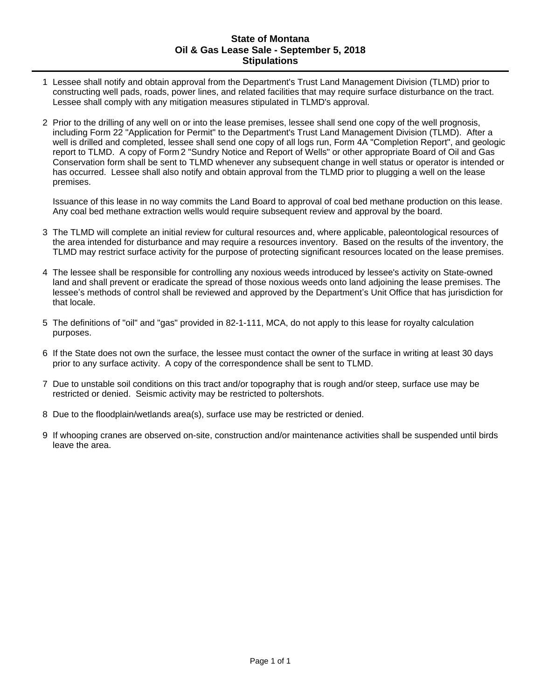# **State of Montana Oil & Gas Lease Sale - September 5, 2018 Stipulations**

- 1 Lessee shall notify and obtain approval from the Department's Trust Land Management Division (TLMD) prior to constructing well pads, roads, power lines, and related facilities that may require surface disturbance on the tract. Lessee shall comply with any mitigation measures stipulated in TLMD's approval.
- 2 Prior to the drilling of any well on or into the lease premises, lessee shall send one copy of the well prognosis, including Form 22 "Application for Permit" to the Department's Trust Land Management Division (TLMD). After a well is drilled and completed, lessee shall send one copy of all logs run, Form 4A "Completion Report", and geologic report to TLMD. A copy of Form 2 "Sundry Notice and Report of Wells" or other appropriate Board of Oil and Gas Conservation form shall be sent to TLMD whenever any subsequent change in well status or operator is intended or has occurred. Lessee shall also notify and obtain approval from the TLMD prior to plugging a well on the lease premises.

Issuance of this lease in no way commits the Land Board to approval of coal bed methane production on this lease. Any coal bed methane extraction wells would require subsequent review and approval by the board.

- 3 The TLMD will complete an initial review for cultural resources and, where applicable, paleontological resources of the area intended for disturbance and may require a resources inventory. Based on the results of the inventory, the TLMD may restrict surface activity for the purpose of protecting significant resources located on the lease premises.
- 4 The lessee shall be responsible for controlling any noxious weeds introduced by lessee's activity on State-owned land and shall prevent or eradicate the spread of those noxious weeds onto land adjoining the lease premises. The lessee's methods of control shall be reviewed and approved by the Department's Unit Office that has jurisdiction for that locale.
- 5 The definitions of "oil" and "gas" provided in 82-1-111, MCA, do not apply to this lease for royalty calculation purposes.
- 6 If the State does not own the surface, the lessee must contact the owner of the surface in writing at least 30 days prior to any surface activity. A copy of the correspondence shall be sent to TLMD.
- 7 Due to unstable soil conditions on this tract and/or topography that is rough and/or steep, surface use may be restricted or denied. Seismic activity may be restricted to poltershots.
- 8 Due to the floodplain/wetlands area(s), surface use may be restricted or denied.
- 9 If whooping cranes are observed on-site, construction and/or maintenance activities shall be suspended until birds leave the area.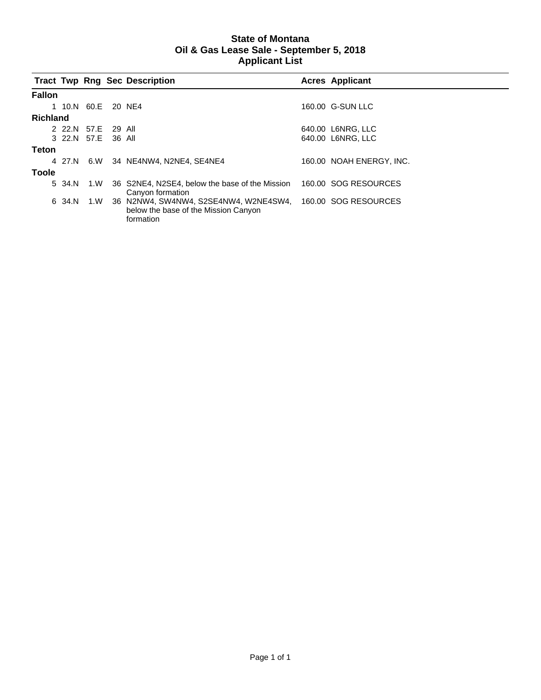# **State of Montana Oil & Gas Lease Sale - September 5, 2018 Applicant List**

|                 |                    |     | <b>Tract Twp Rng Sec Description</b>                                                       | <b>Acres Applicant</b>   |
|-----------------|--------------------|-----|--------------------------------------------------------------------------------------------|--------------------------|
| <b>Fallon</b>   |                    |     |                                                                                            |                          |
|                 | 1 10.N 60.E 20 NE4 |     |                                                                                            | 160.00 G-SUN LLC         |
| <b>Richland</b> |                    |     |                                                                                            |                          |
|                 | 2 22.N 57.E 29 All |     |                                                                                            | 640.00 L6NRG, LLC        |
|                 | 3 22.N 57.E 36 All |     |                                                                                            | 640.00 L6NRG, LLC        |
| Teton           |                    |     |                                                                                            |                          |
|                 |                    |     | 4 27.N 6.W 34 NE4NW4, N2NE4, SE4NE4                                                        | 160.00 NOAH ENERGY. INC. |
| <b>Toole</b>    |                    |     |                                                                                            |                          |
|                 | 5 34.N             | 1.W | 36 S2NE4, N2SE4, below the base of the Mission<br>Canyon formation                         | 160.00 SOG RESOURCES     |
|                 | 6 34.N             | 1.W | 36 N2NW4, SW4NW4, S2SE4NW4, W2NE4SW4,<br>below the base of the Mission Canyon<br>formation | 160.00 SOG RESOURCES     |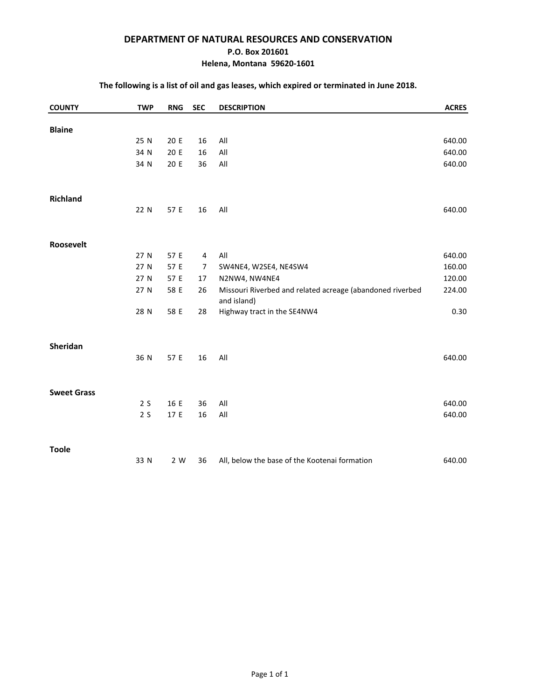# **DEPARTMENT OF NATURAL RESOURCES AND CONSERVATION**

### **P.O. Box 201601**

# **Helena, Montana 59620-1601**

# **The following is a list of oil and gas leases, which expired or terminated in June 2018.**

| <b>COUNTY</b>      | <b>TWP</b> | <b>RNG</b> | <b>SEC</b>     | <b>DESCRIPTION</b>                                                       | <b>ACRES</b> |
|--------------------|------------|------------|----------------|--------------------------------------------------------------------------|--------------|
| <b>Blaine</b>      |            |            |                |                                                                          |              |
|                    | 25 N       | 20 E       | 16             | All                                                                      | 640.00       |
|                    | 34 N       | 20 E       | 16             | All                                                                      | 640.00       |
|                    | 34 N       | 20 E       | 36             | All                                                                      | 640.00       |
|                    |            |            |                |                                                                          |              |
| Richland           |            |            |                |                                                                          |              |
|                    | 22 N       | 57 E       | 16             | All                                                                      | 640.00       |
| Roosevelt          |            |            |                |                                                                          |              |
|                    | 27 N       | 57 E       | $\overline{4}$ | All                                                                      | 640.00       |
|                    | 27 N       | 57 E       | $\overline{7}$ | SW4NE4, W2SE4, NE4SW4                                                    | 160.00       |
|                    | 27 N       | 57 E       | 17             | N2NW4, NW4NE4                                                            | 120.00       |
|                    | 27 N       | 58 E       | 26             | Missouri Riverbed and related acreage (abandoned riverbed<br>and island) | 224.00       |
|                    | 28 N       | 58 E       | 28             | Highway tract in the SE4NW4                                              | 0.30         |
| Sheridan           |            |            |                |                                                                          |              |
|                    | 36 N       | 57 E       | 16             | All                                                                      | 640.00       |
|                    |            |            |                |                                                                          |              |
| <b>Sweet Grass</b> |            |            |                |                                                                          |              |
|                    | 2S         | 16 E       | 36             | All                                                                      | 640.00       |
|                    | 2S         | 17 E       | 16             | $\mathsf{All}$                                                           | 640.00       |
| <b>Toole</b>       |            |            |                |                                                                          |              |
|                    | 33 N       | 2 W        | 36             | All, below the base of the Kootenai formation                            | 640.00       |